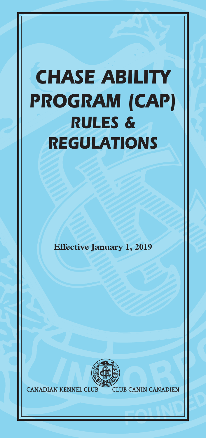# *CHASE ABILITY PROGRAM (CAP) RULES & REGULATIONS*

**Effective January 1, 2019**



**CANADIAN KENNEL CLUB CLUB CANIN CANADIEN**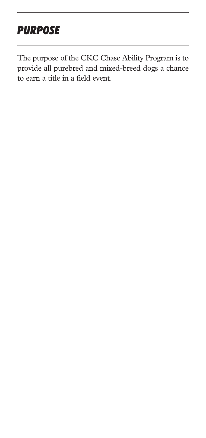# *PURPOSE*

The purpose of the CKC Chase Ability Program is to provide all purebred and mixed-breed dogs a chance to earn a title in a field event.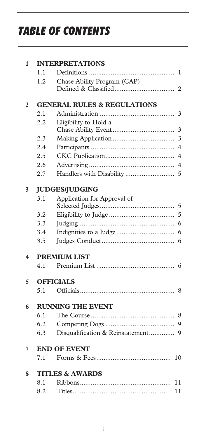# *TABLE OF CONTENTS*

| 1 |                            | <b>INTERPRETATIONS</b>                 |  |  |
|---|----------------------------|----------------------------------------|--|--|
|   | 1.1                        |                                        |  |  |
|   | 1.2                        | Chase Ability Program (CAP)            |  |  |
|   |                            |                                        |  |  |
| 2 |                            | <b>GENERAL RULES &amp; REGULATIONS</b> |  |  |
|   | 2.1                        | 3                                      |  |  |
|   | 2.2                        | Eligibility to Hold a<br>3             |  |  |
|   | 2.3                        | 3                                      |  |  |
|   | 2.4                        | $\overline{4}$                         |  |  |
|   | 2.5                        | $\overline{4}$                         |  |  |
|   | 2.6                        | $\overline{4}$                         |  |  |
|   | 2.7                        |                                        |  |  |
| 3 |                            | <b>JUDGES/JUDGING</b>                  |  |  |
|   | 3.1                        | Application for Approval of            |  |  |
|   | 3.2                        | 5                                      |  |  |
|   | 3.3                        | 6                                      |  |  |
|   | 3.4                        |                                        |  |  |
|   | 3.5                        |                                        |  |  |
| 4 | <b>PREMIUM LIST</b>        |                                        |  |  |
|   | 4.1                        |                                        |  |  |
| 5 |                            | <b>OFFICIALS</b>                       |  |  |
|   | 5.1                        |                                        |  |  |
| 6 |                            | <b>RUNNING THE EVENT</b>               |  |  |
|   | 6.1                        |                                        |  |  |
|   | 6.2                        |                                        |  |  |
|   | 6.3                        | Disqualification & Reinstatement 9     |  |  |
| 7 | <b>END OF EVENT</b>        |                                        |  |  |
|   | 7.1                        | 10                                     |  |  |
| 8 | <b>TITLES &amp; AWARDS</b> |                                        |  |  |
|   | 8.1                        | 11                                     |  |  |
|   | 8.2                        | 11                                     |  |  |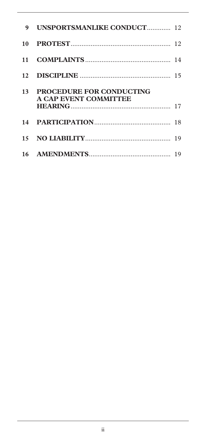| 9   | <b>UNSPORTSMANLIKE CONDUCT 12</b>                               |  |
|-----|-----------------------------------------------------------------|--|
| 10  |                                                                 |  |
| 11  |                                                                 |  |
| 12. |                                                                 |  |
| 13  | <b>PROCEDURE FOR CONDUCTING</b><br><b>A CAP EVENT COMMITTEE</b> |  |
|     |                                                                 |  |
| 15  | <b>NO LIABILITY</b> [19]                                        |  |
|     |                                                                 |  |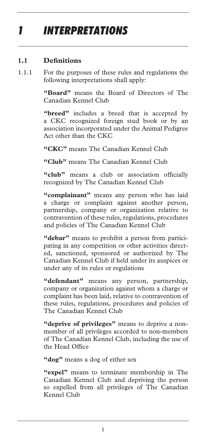# *1 INTERPRETATIONS*

#### **1.1 Definitions**

1.1.1 For the purposes of these rules and regulations the following interpretations shall apply:

> **"Board"** means the Board of Directors of The Canadian Kennel Club

> **"breed"** includes a breed that is accepted by a CKC recognized foreign stud book or by an association incorporated under the Animal Pedigree Act other than the CKC

**"CKC"** means The Canadian Kennel Club

**"Club"** means The Canadian Kennel Club

"club" means a club or association officially recognized by The Canadian Kennel Club

**"complainant"** means any person who has laid a charge or complaint against another person, partnership, company or organization relative to contravention of these rules, regulations, procedures and policies of The Canadian Kennel Club

**"debar"** means to prohibit a person from participating in any competition or other activities directed, sanctioned, sponsored or authorized by The Canadian Kennel Club if held under its auspices or under any of its rules or regulations

**"defendant"** means any person, partnership, company or organization against whom a charge or complaint has been laid, relative to contravention of these rules, regulations, procedures and policies of The Canadian Kennel Club

**"deprive of privileges"** means to deprive a nonmember of all privileges accorded to non-members of The Canadian Kennel Club, including the use of the Head Office

**"dog"** means a dog of either sex

**"expel"** means to terminate membership in The Canadian Kennel Club and depriving the person so expelled from all privileges of The Canadian Kennel Club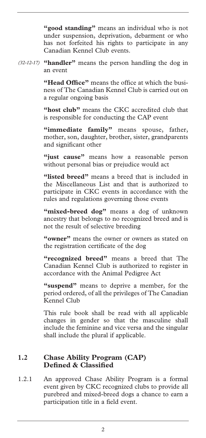**"good standing"** means an individual who is not under suspension, deprivation, debarment or who has not forfeited his rights to participate in any Canadian Kennel Club events.

**"handler"** means the person handling the dog in *(32-12-17)* an event

> **"Head Office"** means the office at which the business of The Canadian Kennel Club is carried out on a regular ongoing basis

> **"host club"** means the CKC accredited club that is responsible for conducting the CAP event

> **"immediate family"** means spouse, father, mother, son, daughter, brother, sister, grandparents and significant other

> **"just cause"** means how a reasonable person without personal bias or prejudice would act

> **"listed breed"** means a breed that is included in the Miscellaneous List and that is authorized to participate in CKC events in accordance with the rules and regulations governing those events

> "mixed-breed dog" means a dog of unknown ancestry that belongs to no recognized breed and is not the result of selective breeding

> **"owner"** means the owner or owners as stated on the registration certificate of the dog

> **"recognized breed"** means a breed that The Canadian Kennel Club is authorized to register in accordance with the Animal Pedigree Act

> **"suspend"** means to deprive a member, for the period ordered, of all the privileges of The Canadian Kennel Club

> This rule book shall be read with all applicable changes in gender so that the masculine shall include the feminine and vice versa and the singular shall include the plural if applicable.

#### **1.2 Chase Ability Program (CAP) Defined & Classified**

1.2.1 An approved Chase Ability Program is a formal event given by CKC recognized clubs to provide all purebred and mixed-breed dogs a chance to earn a participation title in a field event.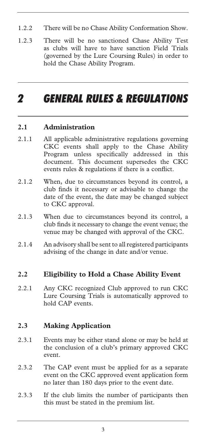- 1.2.2 There will be no Chase Ability Conformation Show.
- 1.2.3 There will be no sanctioned Chase Ability Test as clubs will have to have sanction Field Trials (governed by the Lure Coursing Rules) in order to hold the Chase Ability Program.

# *2 GENERAL RULES & REGULATIONS*

#### **2.1 Administration**

- 2.1.1 All applicable administrative regulations governing CKC events shall apply to the Chase Ability Program unless specifically addressed in this document. This document supersedes the CKC events rules & regulations if there is a conflict.
- 2.1.2 When, due to circumstances beyond its control, a club finds it necessary or advisable to change the date of the event, the date may be changed subject to CKC approval.
- 2.1.3 When due to circumstances beyond its control, a club finds it necessary to change the event venue; the venue may be changed with approval of the CKC.
- 2.1.4 An advisory shall be sent to all registered participants advising of the change in date and/or venue.

#### **2.2 Eligibility to Hold a Chase Ability Event**

2.2.1 Any CKC recognized Club approved to run CKC Lure Coursing Trials is automatically approved to hold CAP events.

#### **2.3 Making Application**

- 2.3.1 Events may be either stand alone or may be held at the conclusion of a club's primary approved CKC event.
- 2.3.2 The CAP event must be applied for as a separate event on the CKC approved event application form no later than 180 days prior to the event date.
- 2.3.3 If the club limits the number of participants then this must be stated in the premium list.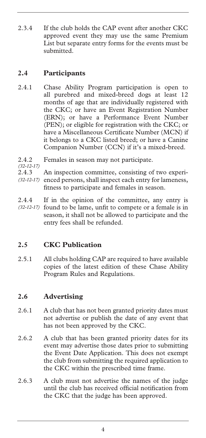2.3.4 If the club holds the CAP event after another CKC approved event they may use the same Premium List but separate entry forms for the events must be submitted.

#### **2.4 Participants**

- 2.4.1 Chase Ability Program participation is open to all purebred and mixed-breed dogs at least 12 months of age that are individually registered with the CKC; or have an Event Registration Number (ERN); or have a Performance Event Number (PEN); or eligible for registration with the CKC; or have a Miscellaneous Certificate Number (MCN) if it belongs to a CKC listed breed; or have a Canine Companion Number (CCN) if it's a mixed-breed.
- 2.4.2 Females in season may not participate.

*(32-12-17)* 

- 2.4.3 An inspection committee, consisting of two experi-(32-12-17) enced persons, shall inspect each entry for lameness,
- fitness to participate and females in season.
- 2.4.4 If in the opinion of the committee, any entry is found to be lame, unfit to compete or a female is in season, it shall not be allowed to participate and the entry fees shall be refunded. *(32-12-17)*

#### **2.5 CKC Publication**

2.5.1 All clubs holding CAP are required to have available copies of the latest edition of these Chase Ability Program Rules and Regulations.

#### **2.6 Advertising**

- 2.6.1 A club that has not been granted priority dates must not advertise or publish the date of any event that has not been approved by the CKC.
- 2.6.2 A club that has been granted priority dates for its event may advertise those dates prior to submitting the Event Date Application. This does not exempt the club from submitting the required application to the CKC within the prescribed time frame.
- 2.6.3 A club must not advertise the names of the judge until the club has received official notification from the CKC that the judge has been approved.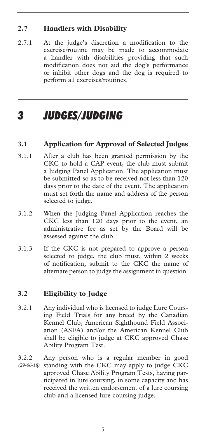#### **2.7 Handlers with Disability**

2.7.1 At the judge's discretion a modification to the exercise/routine may be made to accommodate a handler with disabilities providing that such modification does not aid the dog's performance or inhibit other dogs and the dog is required to perform all exercises/routines.

# *3 JUDGES/JUDGING*

#### **3.1 Application for Approval of Selected Judges**

- 3.1.1 After a club has been granted permission by the CKC to hold a CAP event, the club must submit a Judging Panel Application. The application must be submitted so as to be received not less than 120 days prior to the date of the event. The application must set forth the name and address of the person selected to judge.
- 3.1.2 When the Judging Panel Application reaches the CKC less than 120 days prior to the event, an administrative fee as set by the Board will be assessed against the club.
- 3.1.3 If the CKC is not prepared to approve a person selected to judge, the club must, within 2 weeks of notification, submit to the CKC the name of alternate person to judge the assignment in question.

#### **3.2 Eligibility to Judge**

- 3.2.1 Any individual who is licensed to judge Lure Coursing Field Trials for any breed by the Canadian Kennel Club, American Sighthound Field Association (ASFA) and/or the American Kennel Club shall be eligible to judge at CKC approved Chase Ability Program Test.
- 3.2.2 Any person who is a regular member in good standing with the CKC may apply to judge CKC approved Chase Ability Program Tests, having participated in lure coursing, in some capacity and has received the written endorsement of a lure coursing club and a licensed lure coursing judge. *(29-06-18)*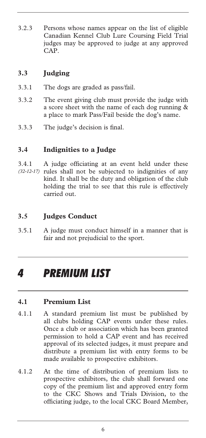3.2.3 Persons whose names appear on the list of eligible Canadian Kennel Club Lure Coursing Field Trial judges may be approved to judge at any approved CAP.

#### **3.3 Judging**

- 3.3.1 The dogs are graded as pass/fail.
- 3.3.2 The event giving club must provide the judge with a score sheet with the name of each dog running & a place to mark Pass/Fail beside the dog's name.
- 3.3.3 The judge's decision is final.

#### **3.4 Indignities to a Judge**

3.4.1 A judge officiating at an event held under these (32-12-17) rules shall not be subjected to indignities of any kind. It shall be the duty and obligation of the club holding the trial to see that this rule is effectively carried out.

#### **3.5 Judges Conduct**

3.5.1 A judge must conduct himself in a manner that is fair and not prejudicial to the sport.

### *4 PREMIUM LIST*

#### **4.1 Premium List**

- 4.1.1 A standard premium list must be published by all clubs holding CAP events under these rules. Once a club or association which has been granted permission to hold a CAP event and has received approval of its selected judges, it must prepare and distribute a premium list with entry forms to be made available to prospective exhibitors.
- 4.1.2 At the time of distribution of premium lists to prospective exhibitors, the club shall forward one copy of the premium list and approved entry form to the CKC Shows and Trials Division, to the officiating judge, to the local CKC Board Member,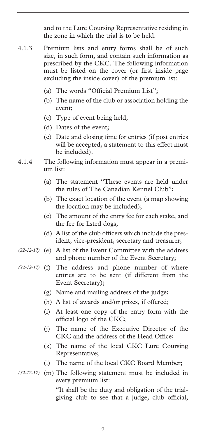and to the Lure Coursing Representative residing in the zone in which the trial is to be held.

- 4.1.3 Premium lists and entry forms shall be of such size, in such form, and contain such information as prescribed by the CKC. The following information must be listed on the cover (or first inside page excluding the inside cover) of the premium list:
	- (a) The words "Official Premium List";
	- (b) The name of the club or association holding the event;
	- (c) Type of event being held;
	- (d) Dates of the event;
	- (e) Date and closing time for entries (if post entries will be accepted, a statement to this effect must be included).
- 4.1.4 The following information must appear in a premium list:
	- (a) The statement "These events are held under the rules of The Canadian Kennel Club";
	- (b) The exact location of the event (a map showing the location may be included);
	- (c) The amount of the entry fee for each stake, and the fee for listed dogs;
	- (d) A list of the club officers which include the president, vice-president, secretary and treasurer;
- (e) A list of the Event Committee with the address *(32-12-17)*  and phone number of the Event Secretary;
- (f) The address and phone number of where *(32-12-17)*  entries are to be sent (if different from the Event Secretary);
	- (g) Name and mailing address of the judge;
	- (h) A list of awards and/or prizes, if offered;
	- (i) At least one copy of the entry form with the official logo of the CKC;
	- (j) The name of the Executive Director of the CKC and the address of the Head Office;
	- (k) The name of the local CKC Lure Coursing Representative;
	- (l) The name of the local CKC Board Member;
- (32-12-17) (m) The following statement must be included in every premium list:

 "It shall be the duty and obligation of the trialgiving club to see that a judge, club official,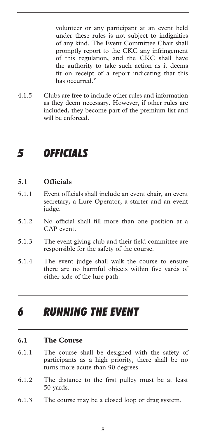volunteer or any participant at an event held under these rules is not subject to indignities of any kind. The Event Committee Chair shall promptly report to the CKC any infringement of this regulation, and the CKC shall have the authority to take such action as it deems fit on receipt of a report indicating that this has occurred."

4.1.5 Clubs are free to include other rules and information as they deem necessary. However, if other rules are included, they become part of the premium list and will be enforced.

### *5 OFFICIALS*

#### **5.1 Officials**

- 5.1.1 Event officials shall include an event chair, an event secretary, a Lure Operator, a starter and an event judge.
- 5.1.2 No official shall fill more than one position at a CAP event.
- 5.1.3 The event giving club and their field committee are responsible for the safety of the course.
- 5.1.4 The event judge shall walk the course to ensure there are no harmful objects within five yards of either side of the lure path.

### *6 RUNNING THE EVENT*

#### **6.1 The Course**

- 6.1.1 The course shall be designed with the safety of participants as a high priority, there shall be no turns more acute than 90 degrees.
- 6.1.2 The distance to the first pulley must be at least 50 yards.
- 6.1.3 The course may be a closed loop or drag system.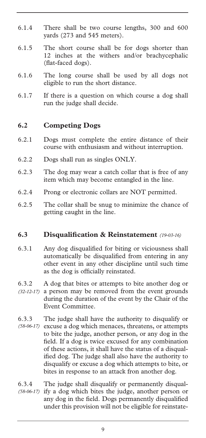- 6.1.4 There shall be two course lengths, 300 and 600 yards (273 and 545 meters).
- 6.1.5 The short course shall be for dogs shorter than 12 inches at the withers and/or brachycephalic (flat-faced dogs).
- 6.1.6 The long course shall be used by all dogs not eligible to run the short distance.
- 6.1.7 If there is a question on which course a dog shall run the judge shall decide.

#### **6.2 Competing Dogs**

- 6.2.1 Dogs must complete the entire distance of their course with enthusiasm and without interruption.
- 6.2.2 Dogs shall run as singles ONLY.
- 6.2.3 The dog may wear a catch collar that is free of any item which may become entangled in the line.
- 6.2.4 Prong or electronic collars are NOT permitted.
- 6.2.5 The collar shall be snug to minimize the chance of getting caught in the line.

#### **6.3 Disqualification & Reinstatement** *(19-03-16)*

- 6.3.1 Any dog disqualified for biting or viciousness shall automatically be disqualified from entering in any other event in any other discipline until such time as the dog is officially reinstated.
- 6.3.2 A dog that bites or attempts to bite another dog or (32-12-17) a person may be removed from the event grounds during the duration of the event by the Chair of the Event Committee.
- 6.3.3 The judge shall have the authority to disqualify or (58-06-17) excuse a dog which menaces, threatens, or attempts to bite the judge, another person, or any dog in the field. If a dog is twice excused for any combination of these actions, it shall have the status of a disqualified dog. The judge shall also have the authority to disqualify or excuse a dog which attempts to bite, or bites in response to an attack fron another dog.
- 6.3.4 The judge shall disqualify or permanently disqualify a dog which bites the judge, another person or any dog in the field. Dogs permanently disqualified under this provision will not be eligible for reinstate- *(58-06-17)*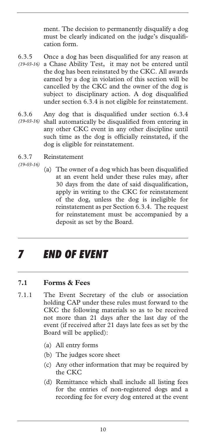ment. The decision to permanently disqualify a dog must be clearly indicated on the judge's disqualification form.

- 6.3.5 Once a dog has been disqualified for any reason at a Chase Ability Test, it may not be entered until *(19-03-16)*  the dog has been reinstated by the CKC. All awards earned by a dog in violation of this section will be cancelled by the CKC and the owner of the dog is subject to disciplinary action. A dog disqualified under section 6.3.4 is not eligible for reinstatement.
- 6.3.6 Any dog that is disqualified under section 6.3.4 shall automatically be disqualified from entering in *(19-03-16)*  any other CKC event in any other discipline until such time as the dog is officially reinstated, if the dog is eligible for reinstatement.
- 6.3.7 Reinstatement
- *(19-03-16)* 
	- (a) The owner of a dog which has been disqualified at an event held under these rules may, after 30 days from the date of said disqualification, apply in writing to the CKC for reinstatement of the dog, unless the dog is ineligible for reinstatement as per Section 6.3.4. The request for reinstatement must be accompanied by a deposit as set by the Board.

# *7 END OF EVENT*

#### **7.1 Forms & Fees**

- 7.1.1 The Event Secretary of the club or association holding CAP under these rules must forward to the CKC the following materials so as to be received not more than 21 days after the last day of the event (if received after 21 days late fees as set by the Board will be applied):
	- (a) All entry forms
	- (b) The judges score sheet
	- (c) Any other information that may be required by the CKC
	- (d) Remittance which shall include all listing fees for the entries of non-registered dogs and a recording fee for every dog entered at the event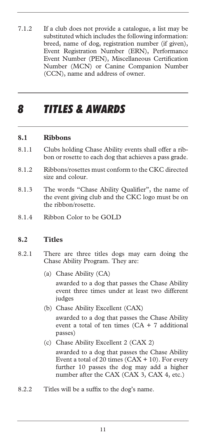7.1.2 If a club does not provide a catalogue, a list may be substituted which includes the following information: breed, name of dog, registration number (if given), Event Registration Number (ERN), Performance Event Number (PEN), Miscellaneous Certification Number (MCN) or Canine Companion Number (CCN), name and address of owner.

### *8 TITLES & AWARDS*

#### **8.1 Ribbons**

- 8.1.1 Clubs holding Chase Ability events shall offer a ribbon or rosette to each dog that achieves a pass grade.
- 8.1.2 Ribbons/rosettes must conform to the CKC directed size and colour.
- 8.1.3 The words "Chase Ability Qualifier", the name of the event giving club and the CKC logo must be on the ribbon/rosette.
- 8.1.4 Ribbon Color to be GOLD

#### **8.2 Titles**

- 8.2.1 There are three titles dogs may earn doing the Chase Ability Program. They are:
	- (a) Chase Ability (CA)

 awarded to a dog that passes the Chase Ability event three times under at least two different judges

(b) Chase Ability Excellent (CAX)

 awarded to a dog that passes the Chase Ability event a total of ten times  $(CA + 7$  additional passes)

(c) Chase Ability Excellent 2 (CAX 2)

 awarded to a dog that passes the Chase Ability Event a total of 20 times  $(CAX + 10)$ . For every further 10 passes the dog may add a higher number after the CAX (CAX 3, CAX 4, etc.)

8.2.2 Titles will be a suffix to the dog's name.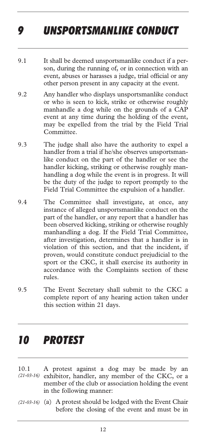# *9 UNSPORTSMANLIKE CONDUCT*

- 9.1 It shall be deemed unsportsmanlike conduct if a person, during the running of, or in connection with an event, abuses or harasses a judge, trial official or any other person present in any capacity at the event.
- 9.2 Any handler who displays unsportsmanlike conduct or who is seen to kick, strike or otherwise roughly manhandle a dog while on the grounds of a CAP event at any time during the holding of the event, may be expelled from the trial by the Field Trial Committee.
- 9.3 The judge shall also have the authority to expel a handler from a trial if he/she observes unsportsmanlike conduct on the part of the handler or see the handler kicking, striking or otherwise roughly manhandling a dog while the event is in progress. It will be the duty of the judge to report promptly to the Field Trial Committee the expulsion of a handler.
- 9.4 The Committee shall investigate, at once, any instance of alleged unsportsmanlike conduct on the part of the handler, or any report that a handler has been observed kicking, striking or otherwise roughly manhandling a dog. If the Field Trial Committee, after investigation, determines that a handler is in violation of this section, and that the incident, if proven, would constitute conduct prejudicial to the sport or the CKC, it shall exercise its authority in accordance with the Complaints section of these rules.
- 9.5 The Event Secretary shall submit to the CKC a complete report of any hearing action taken under this section within 21 days.

# *10 PROTEST*

- 10.1 A protest against a dog may be made by an (21-03-16) exhibitor, handler, any member of the CKC, or a member of the club or association holding the event in the following manner:
- (a) A protest should be lodged with the Event Chair *(21-03-16)* before the closing of the event and must be in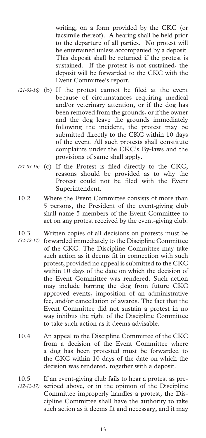writing, on a form provided by the CKC (or facsimile thereof). A hearing shall be held prior to the departure of all parties. No protest will be entertained unless accompanied by a deposit. This deposit shall be returned if the protest is sustained. If the protest is not sustained, the deposit will be forwarded to the CKC with the Event Committee's report.

- (21-03-16) (b) If the protest cannot be filed at the event because of circumstances requiring medical and/or veterinary attention, or if the dog has been removed from the grounds, or if the owner and the dog leave the grounds immediately following the incident, the protest may be submitted directly to the CKC within 10 days of the event. All such protests shall constitute complaints under the CKC's By-laws and the provisions of same shall apply.
- (21-03-16) (c) If the Protest is filed directly to the CKC, reasons should be provided as to why the Protest could not be filed with the Event Superintendent.
- 10.2 Where the Event Committee consists of more than 5 persons, the President of the event-giving club shall name 5 members of the Event Committee to act on any protest received by the event-giving club.
- 10.3 Written copies of all decisions on protests must be forwarded immediately to the Discipline Committee *(32-12-17)*  of the CKC. The Discipline Committee may take such action as it deems fit in connection with such protest, provided no appeal is submitted to the CKC within 10 days of the date on which the decision of the Event Committee was rendered. Such action may include barring the dog from future CKC approved events, imposition of an administrative fee, and/or cancellation of awards. The fact that the Event Committee did not sustain a protest in no way inhibits the right of the Discipline Committee to take such action as it deems advisable.
- 10.4 An appeal to the Discipline Committee of the CKC from a decision of the Event Committee where a dog has been protested must be forwarded to the CKC within 10 days of the date on which the decision was rendered, together with a deposit.
- 10.5 If an event-giving club fails to hear a protest as prescribed above, or in the opinion of the Discipline *(32-12-17)* Committee improperly handles a protest, the Discipline Committee shall have the authority to take such action as it deems fit and necessary, and it may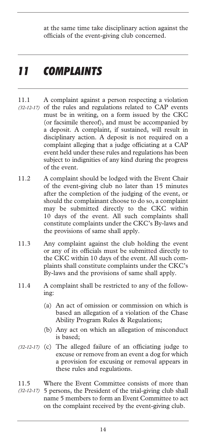at the same time take disciplinary action against the officials of the event-giving club concerned.

### *11 COMPLAINTS*

- 11.1 A complaint against a person respecting a violation (32-12-17) of the rules and regulations related to CAP events must be in writing, on a form issued by the CKC (or facsimile thereof), and must be accompanied by a deposit. A complaint, if sustained, will result in disciplinary action. A deposit is not required on a complaint alleging that a judge officiating at a CAP event held under these rules and regulations has been subject to indignities of any kind during the progress of the event.
- 11.2 A complaint should be lodged with the Event Chair of the event-giving club no later than 15 minutes after the completion of the judging of the event, or should the complainant choose to do so, a complaint may be submitted directly to the CKC within 10 days of the event. All such complaints shall constitute complaints under the CKC's By-laws and the provisions of same shall apply.
- 11.3 Any complaint against the club holding the event or any of its officials must be submitted directly to the CKC within 10 days of the event. All such complaints shall constitute complaints under the CKC's By-laws and the provisions of same shall apply.
- 11.4 A complaint shall be restricted to any of the following:
	- (a) An act of omission or commission on which is based an allegation of a violation of the Chase Ability Program Rules & Regulations;
	- (b) Any act on which an allegation of misconduct is based;
- (32-12-17) (c) The alleged failure of an officiating judge to excuse or remove from an event a dog for which a provision for excusing or removal appears in these rules and regulations.
- 11.5 Where the Event Committee consists of more than 5 persons, the President of the trial-giving club shall *(32-12-17)* name 5 members to form an Event Committee to act on the complaint received by the event-giving club.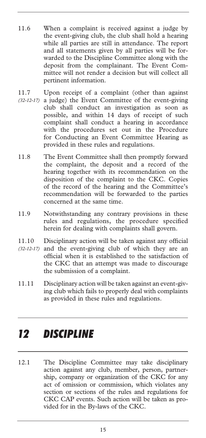- 11.6 When a complaint is received against a judge by the event-giving club, the club shall hold a hearing while all parties are still in attendance. The report and all statements given by all parties will be forwarded to the Discipline Committee along with the deposit from the complainant. The Event Committee will not render a decision but will collect all pertinent information.
- 11.7 Upon receipt of a complaint (other than against a judge) the Event Committee of the event-giving club shall conduct an investigation as soon as possible, and within 14 days of receipt of such complaint shall conduct a hearing in accordance with the procedures set out in the Procedure for Conducting an Event Committee Hearing as provided in these rules and regulations. *(32-12-17)*
- 11.8 The Event Committee shall then promptly forward the complaint, the deposit and a record of the hearing together with its recommendation on the disposition of the complaint to the CKC. Copies of the record of the hearing and the Committee's recommendation will be forwarded to the parties concerned at the same time.
- 11.9 Notwithstanding any contrary provisions in these rules and regulations, the procedure specified herein for dealing with complaints shall govern.
- 11.10 Disciplinary action will be taken against any official (32-12-17) and the event-giving club of which they are an official when it is established to the satisfaction of the CKC that an attempt was made to discourage the submission of a complaint.
- 11.11 Disciplinary action will be taken against an event-giving club which fails to properly deal with complaints as provided in these rules and regulations.

# *12 DISCIPLINE*

12.1 The Discipline Committee may take disciplinary action against any club, member, person, partnership, company or organization of the CKC for any act of omission or commission, which violates any section or sections of the rules and regulations for CKC CAP events. Such action will be taken as provided for in the By-laws of the CKC.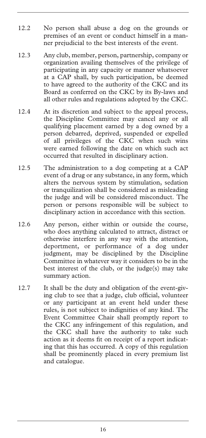- 12.2 No person shall abuse a dog on the grounds or premises of an event or conduct himself in a manner prejudicial to the best interests of the event.
- 12.3 Any club, member, person, partnership, company or organization availing themselves of the privilege of participating in any capacity or manner whatsoever at a CAP shall, by such participation, be deemed to have agreed to the authority of the CKC and its Board as conferred on the CKC by its By-laws and all other rules and regulations adopted by the CKC.
- 12.4 At its discretion and subject to the appeal process, the Discipline Committee may cancel any or all qualifying placement earned by a dog owned by a person debarred, deprived, suspended or expelled of all privileges of the CKC when such wins were earned following the date on which such act occurred that resulted in disciplinary action.
- 12.5 The administration to a dog competing at a CAP event of a drug or any substance, in any form, which alters the nervous system by stimulation, sedation or tranquilization shall be considered as misleading the judge and will be considered misconduct. The person or persons responsible will be subject to disciplinary action in accordance with this section.
- 12.6 Any person, either within or outside the course, who does anything calculated to attract, distract or otherwise interfere in any way with the attention, deportment, or performance of a dog under judgment, may be disciplined by the Discipline Committee in whatever way it considers to be in the best interest of the club, or the judge(s) may take summary action.
- 12.7 It shall be the duty and obligation of the event-giving club to see that a judge, club official, volunteer or any participant at an event held under these rules, is not subject to indignities of any kind. The Event Committee Chair shall promptly report to the CKC any infringement of this regulation, and the CKC shall have the authority to take such action as it deems fit on receipt of a report indicating that this has occurred. A copy of this regulation shall be prominently placed in every premium list and catalogue.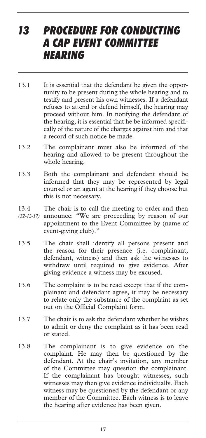## *13 PROCEDURE FOR CONDUCTING A CAP EVENT COMMITTEE HEARING*

- 13.1 It is essential that the defendant be given the opportunity to be present during the whole hearing and to testify and present his own witnesses. If a defendant refuses to attend or defend himself, the hearing may proceed without him. In notifying the defendant of the hearing, it is essential that he be informed specifically of the nature of the charges against him and that a record of such notice be made.
- 13.2 The complainant must also be informed of the hearing and allowed to be present throughout the whole hearing.
- 13.3 Both the complainant and defendant should be informed that they may be represented by legal counsel or an agent at the hearing if they choose but this is not necessary.
- 13.4 The chair is to call the meeting to order and then (32-12-17) announce: "We are proceeding by reason of our appointment to the Event Committee by (name of event-giving club)."
- 13.5 The chair shall identify all persons present and the reason for their presence (i.e. complainant, defendant, witness) and then ask the witnesses to withdraw until required to give evidence. After giving evidence a witness may be excused.
- 13.6 The complaint is to be read except that if the complainant and defendant agree, it may be necessary to relate only the substance of the complaint as set out on the Official Complaint form.
- 13.7 The chair is to ask the defendant whether he wishes to admit or deny the complaint as it has been read or stated.
- 13.8 The complainant is to give evidence on the complaint. He may then be questioned by the defendant. At the chair's invitation, any member of the Committee may question the complainant. If the complainant has brought witnesses, such witnesses may then give evidence individually. Each witness may be questioned by the defendant or any member of the Committee. Each witness is to leave the hearing after evidence has been given.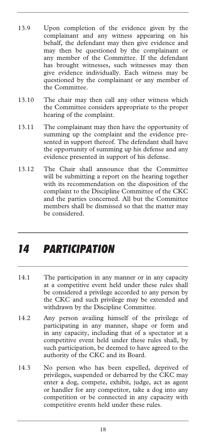- 13.9 Upon completion of the evidence given by the complainant and any witness appearing on his behalf, the defendant may then give evidence and may then be questioned by the complainant or any member of the Committee. If the defendant has brought witnesses, such witnesses may then give evidence individually. Each witness may be questioned by the complainant or any member of the Committee.
- 13.10 The chair may then call any other witness which the Committee considers appropriate to the proper hearing of the complaint.
- 13.11 The complainant may then have the opportunity of summing up the complaint and the evidence presented in support thereof. The defendant shall have the opportunity of summing up his defense and any evidence presented in support of his defense.
- 13.12 The Chair shall announce that the Committee will be submitting a report on the hearing together with its recommendation on the disposition of the complaint to the Discipline Committee of the CKC and the parties concerned. All but the Committee members shall be dismissed so that the matter may be considered.

# *14 PARTICIPATION*

- 14.1 The participation in any manner or in any capacity at a competitive event held under these rules shall be considered a privilege accorded to any person by the CKC and such privilege may be extended and withdrawn by the Discipline Committee.
- 14.2 Any person availing himself of the privilege of participating in any manner, shape or form and in any capacity, including that of a spectator at a competitive event held under these rules shall, by such participation, be deemed to have agreed to the authority of the CKC and its Board.
- 14.3 No person who has been expelled, deprived of privileges, suspended or debarred by the CKC may enter a dog, compete, exhibit, judge, act as agent or handler for any competitor, take a dog into any competition or be connected in any capacity with competitive events held under these rules.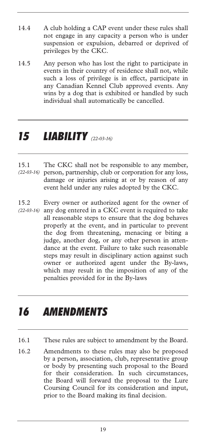- 14.4 A club holding a CAP event under these rules shall not engage in any capacity a person who is under suspension or expulsion, debarred or deprived of privileges by the CKC.
- 14.5 Any person who has lost the right to participate in events in their country of residence shall not, while such a loss of privilege is in effect, participate in any Canadian Kennel Club approved events. Any wins by a dog that is exhibited or handled by such individual shall automatically be cancelled.

# *15 LIABILITY (22-03-16)*

- 15.1 The CKC shall not be responsible to any member, person, partnership, club or corporation for any loss, damage or injuries arising at or by reason of any event held under any rules adopted by the CKC. *(22-03-16)*
- 15.2 Every owner or authorized agent for the owner of any dog entered in a CKC event is required to take all reasonable steps to ensure that the dog behaves properly at the event, and in particular to prevent the dog from threatening, menacing or biting a judge, another dog, or any other person in attendance at the event. Failure to take such reasonable steps may result in disciplinary action against such owner or authorized agent under the By-laws, which may result in the imposition of any of the penalties provided for in the By-laws *(22-03-16)*

# *16 AMENDMENTS*

- 16.1 These rules are subject to amendment by the Board.
- 16.2 Amendments to these rules may also be proposed by a person, association, club, representative group or body by presenting such proposal to the Board for their consideration. In such circumstances, the Board will forward the proposal to the Lure Coursing Council for its consideration and input, prior to the Board making its final decision.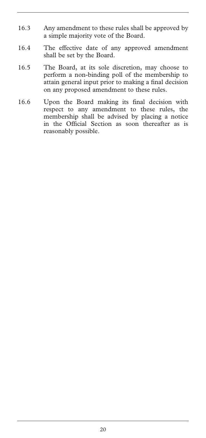- 16.3 Any amendment to these rules shall be approved by a simple majority vote of the Board.
- 16.4 The effective date of any approved amendment shall be set by the Board.
- 16.5 The Board, at its sole discretion, may choose to perform a non-binding poll of the membership to attain general input prior to making a final decision on any proposed amendment to these rules.
- 16.6 Upon the Board making its final decision with respect to any amendment to these rules, the membership shall be advised by placing a notice in the Official Section as soon thereafter as is reasonably possible.